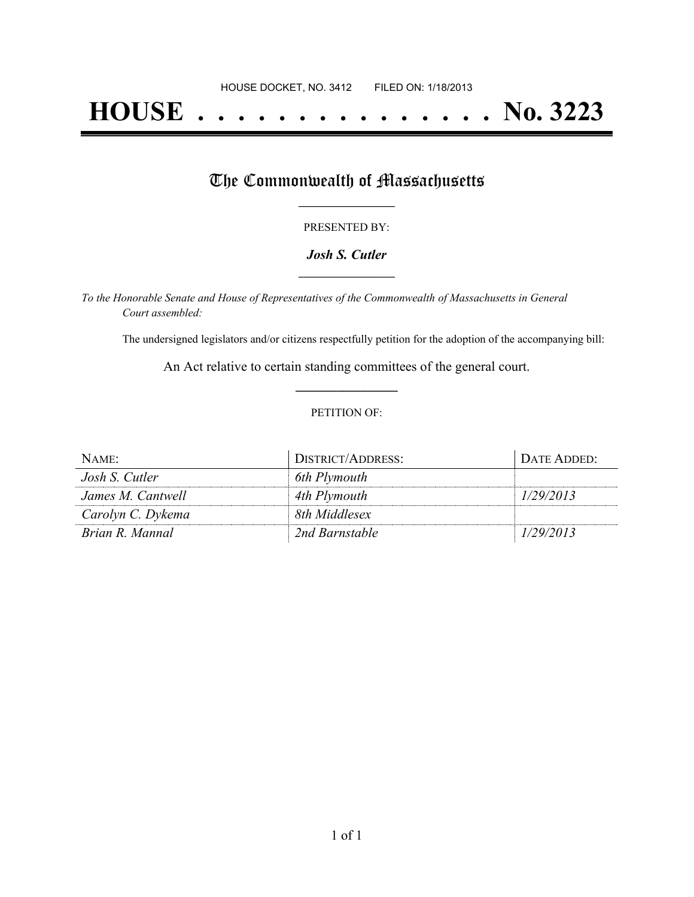# **HOUSE . . . . . . . . . . . . . . . No. 3223**

## The Commonwealth of Massachusetts

#### PRESENTED BY:

#### *Josh S. Cutler* **\_\_\_\_\_\_\_\_\_\_\_\_\_\_\_\_\_**

*To the Honorable Senate and House of Representatives of the Commonwealth of Massachusetts in General Court assembled:*

The undersigned legislators and/or citizens respectfully petition for the adoption of the accompanying bill:

An Act relative to certain standing committees of the general court. **\_\_\_\_\_\_\_\_\_\_\_\_\_\_\_**

#### PETITION OF:

| NAME:             | DISTRICT/ADDRESS: | DATE ADDED: |
|-------------------|-------------------|-------------|
| Josh S. Cutler    | 6th Plymouth      |             |
| James M. Cantwell | 4th Plymouth      | 1/29/2013   |
| Carolyn C. Dykema | 8th Middlesex     |             |
| Brian R. Mannal   | 2nd Barnstable    | 1/29/2013   |